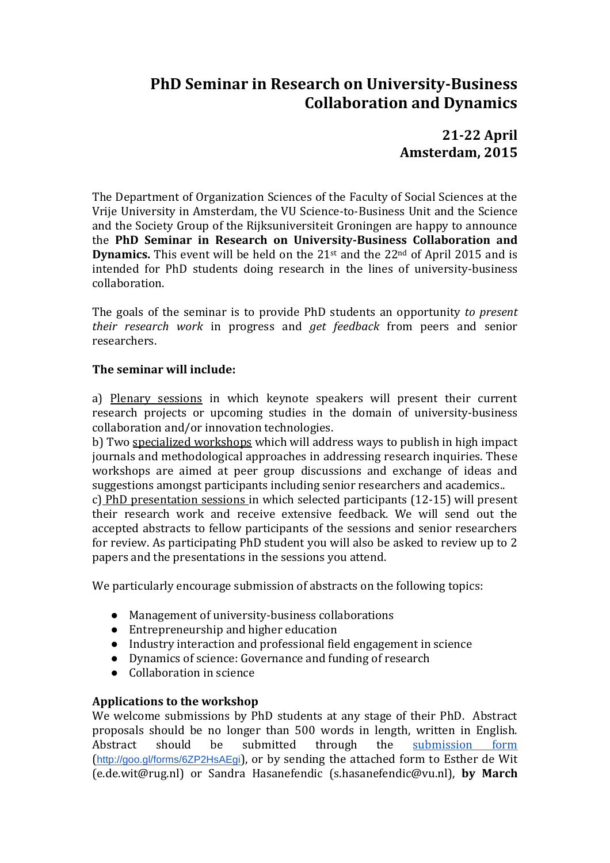# **PhD Seminar in Research on University-Business Collaboration and Dynamics**

**21-22 April Amsterdam, 2015**

The Department of Organization Sciences of the Faculty of Social Sciences at the Vrije University in Amsterdam, the VU Science-to-Business Unit and the Science and the Society Group of the Rijksuniversiteit Groningen are happy to announce the **PhD Seminar in Research on University-Business Collaboration and Dynamics.** This event will be held on the 21<sup>st</sup> and the 22<sup>nd</sup> of April 2015 and is intended for PhD students doing research in the lines of university-business collaboration.

The goals of the seminar is to provide PhD students an opportunity *to present their research work* in progress and *get feedback* from peers and senior researchers.

### **The seminar will include:**

a) Plenary sessions in which keynote speakers will present their current research projects or upcoming studies in the domain of university-business collaboration and/or innovation technologies.

b) Two specialized workshops which will address ways to publish in high impact journals and methodological approaches in addressing research inquiries. These workshops are aimed at peer group discussions and exchange of ideas and suggestions amongst participants including senior researchers and academics..

c) PhD presentation sessions in which selected participants (12-15) will present their research work and receive extensive feedback. We will send out the accepted abstracts to fellow participants of the sessions and senior researchers for review. As participating PhD student you will also be asked to review up to 2 papers and the presentations in the sessions you attend.

We particularly encourage submission of abstracts on the following topics:

- Management of university-business collaborations
- Entrepreneurship and higher education
- Industry interaction and professional field engagement in science
- Dynamics of science: Governance and funding of research
- Collaboration in science

### **Applications to the workshop**

We welcome submissions by PhD students at any stage of their PhD. Abstract proposals should be no longer than 500 words in length, written in English. Abstract should be submitted through the [submission form](http://goo.gl/forms/6ZP2HsAEgi)  (<http://goo.gl/forms/6ZP2HsAEgi>), or by sending the attached form to Esther de Wit (e.de.wit@rug.nl) or Sandra Hasanefendic (s.hasanefendic@vu.nl), **by March**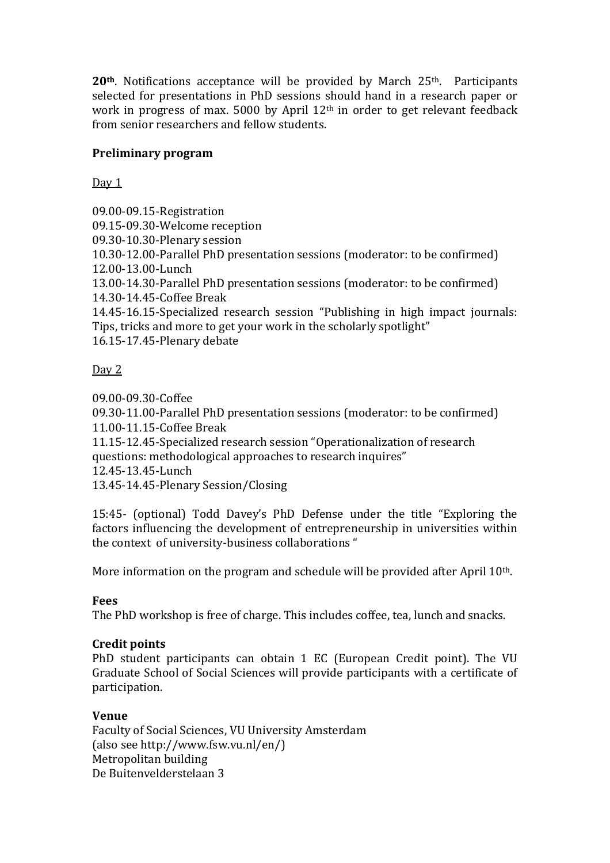**20th**. Notifications acceptance will be provided by March 25th. Participants selected for presentations in PhD sessions should hand in a research paper or work in progress of max. 5000 by April 12th in order to get relevant feedback from senior researchers and fellow students.

### **Preliminary program**

 $Day 1$ 

09.00-09.15-Registration 09.15-09.30-Welcome reception 09.30-10.30-Plenary session 10.30-12.00-Parallel PhD presentation sessions (moderator: to be confirmed) 12.00-13.00-Lunch 13.00-14.30-Parallel PhD presentation sessions (moderator: to be confirmed) 14.30-14.45-Coffee Break 14.45-16.15-Specialized research session "Publishing in high impact journals: Tips, tricks and more to get your work in the scholarly spotlight" 16.15-17.45-Plenary debate

# Day 2

09.00-09.30-Coffee 09.30-11.00-Parallel PhD presentation sessions (moderator: to be confirmed) 11.00-11.15-Coffee Break 11.15-12.45-Specialized research session "Operationalization of research questions: methodological approaches to research inquires" 12.45-13.45-Lunch 13.45-14.45-Plenary Session/Closing

15:45- (optional) Todd Davey's PhD Defense under the title "Exploring the factors influencing the development of entrepreneurship in universities within the context of university-business collaborations "

More information on the program and schedule will be provided after April 10<sup>th</sup>.

# **Fees**

The PhD workshop is free of charge. This includes coffee, tea, lunch and snacks.

# **Credit points**

PhD student participants can obtain 1 EC (European Credit point). The VU Graduate School of Social Sciences will provide participants with a certificate of participation.

# **Venue**

Faculty of Social Sciences, VU University Amsterdam (also see http://www.fsw.vu.nl/en/) Metropolitan building De Buitenvelderstelaan 3